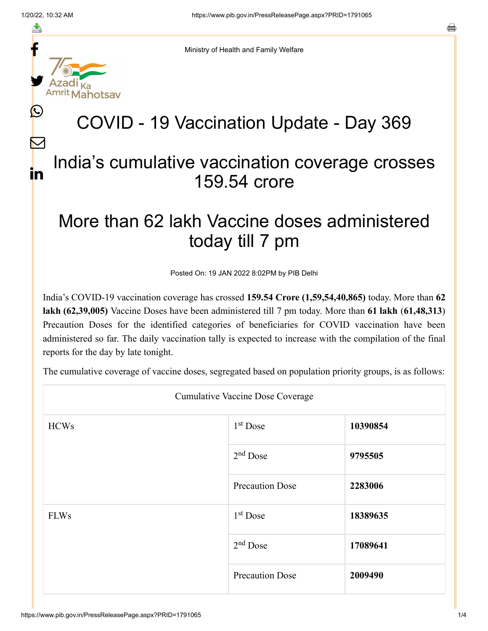f

≛

y.

 $\bigcirc$ 

 $\bm{\nabla}$ 

in

a



Ministry of Health and Family Welfare

## COVID - 19 Vaccination Update - Day 369

## India's cumulative vaccination coverage crosses 159.54 crore

## More than 62 lakh Vaccine doses administered today till 7 pm

Posted On: 19 JAN 2022 8:02PM by PIB Delhi

India's COVID-19 vaccination coverage has crossed **159.54 Crore (1,59,54,40,865)** today. More than **62 lakh (62,39,005)** Vaccine Doses have been administered till 7 pm today. More than **61 lakh** (**61,48,313**) Precaution Doses for the identified categories of beneficiaries for COVID vaccination have been administered so far. The daily vaccination tally is expected to increase with the compilation of the final reports for the day by late tonight.

The cumulative coverage of vaccine doses, segregated based on population priority groups, is as follows:

| <b>Cumulative Vaccine Dose Coverage</b> |                        |          |  |  |
|-----------------------------------------|------------------------|----------|--|--|
| <b>HCWs</b>                             | $1st$ Dose             | 10390854 |  |  |
|                                         | $2nd$ Dose             | 9795505  |  |  |
|                                         | <b>Precaution Dose</b> | 2283006  |  |  |
| <b>FLWs</b>                             | $1st$ Dose             | 18389635 |  |  |
|                                         | $2nd$ Dose             | 17089641 |  |  |
|                                         | <b>Precaution Dose</b> | 2009490  |  |  |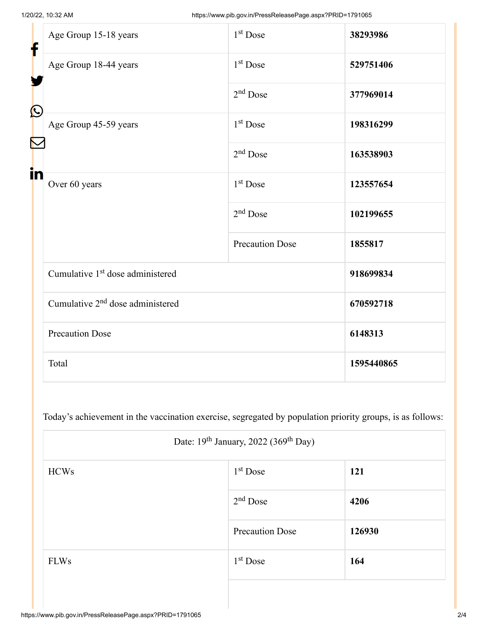| f<br>$\bf \Omega$ | Age Group 15-18 years                        | $1st$ Dose             | 38293986   |
|-------------------|----------------------------------------------|------------------------|------------|
|                   | Age Group 18-44 years                        | $1st$ Dose             | 529751406  |
|                   |                                              | $2nd$ Dose             | 377969014  |
|                   | Age Group 45-59 years                        | $1st$ Dose             | 198316299  |
|                   |                                              | $2nd$ Dose             | 163538903  |
| in                | Over 60 years                                | 1 <sup>st</sup> Dose   | 123557654  |
|                   |                                              | $2nd$ Dose             | 102199655  |
|                   |                                              | <b>Precaution Dose</b> | 1855817    |
|                   | Cumulative 1 <sup>st</sup> dose administered |                        | 918699834  |
|                   | Cumulative 2 <sup>nd</sup> dose administered |                        | 670592718  |
|                   | <b>Precaution Dose</b>                       |                        | 6148313    |
|                   | Total                                        |                        | 1595440865 |

Today's achievement in the vaccination exercise, segregated by population priority groups, is as follows:

| Date: 19 <sup>th</sup> January, 2022 (369 <sup>th</sup> Day) |                        |            |  |  |
|--------------------------------------------------------------|------------------------|------------|--|--|
| <b>HCWs</b>                                                  | $1st$ Dose             | <b>121</b> |  |  |
|                                                              | $2nd$ Dose             | 4206       |  |  |
|                                                              | <b>Precaution Dose</b> | 126930     |  |  |
| <b>FLWs</b>                                                  | $1st$ Dose             | 164        |  |  |
|                                                              |                        |            |  |  |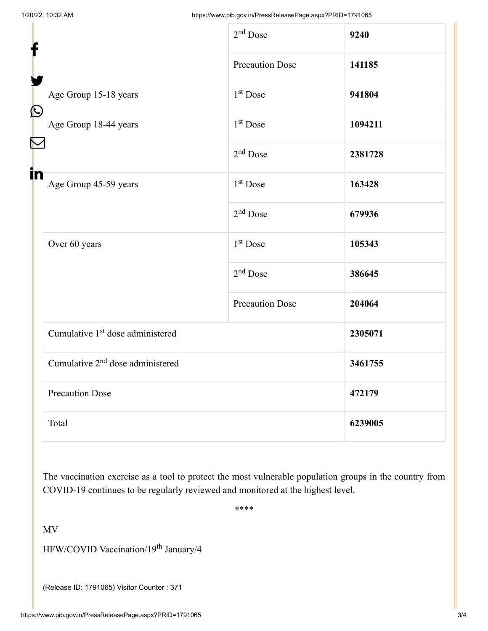| f                         |                                              | 2 <sup>nd</sup> Dose   | 9240    |
|---------------------------|----------------------------------------------|------------------------|---------|
|                           |                                              | <b>Precaution Dose</b> | 141185  |
| $\boldsymbol{\mathsf{O}}$ | Age Group 15-18 years                        | 1 <sup>st</sup> Dose   | 941804  |
|                           | Age Group 18-44 years                        | 1 <sup>st</sup> Dose   | 1094211 |
|                           |                                              | $2nd$ Dose             | 2381728 |
| in                        | Age Group 45-59 years                        | 1 <sup>st</sup> Dose   | 163428  |
|                           |                                              | $2nd$ Dose             | 679936  |
|                           | Over 60 years                                | 1 <sup>st</sup> Dose   | 105343  |
|                           |                                              | $2nd$ Dose             | 386645  |
|                           |                                              | <b>Precaution Dose</b> | 204064  |
|                           | Cumulative 1 <sup>st</sup> dose administered |                        | 2305071 |
|                           | Cumulative 2 <sup>nd</sup> dose administered |                        | 3461755 |
|                           | <b>Precaution Dose</b>                       |                        | 472179  |
|                           | Total                                        |                        | 6239005 |

The vaccination exercise as a tool to protect the most vulnerable population groups in the country from COVID-19 continues to be regularly reviewed and monitored at the highest level.

\*\*\*\*

MV

HFW/COVID Vaccination/19<sup>th</sup> January/4

(Release ID: 1791065) Visitor Counter : 371